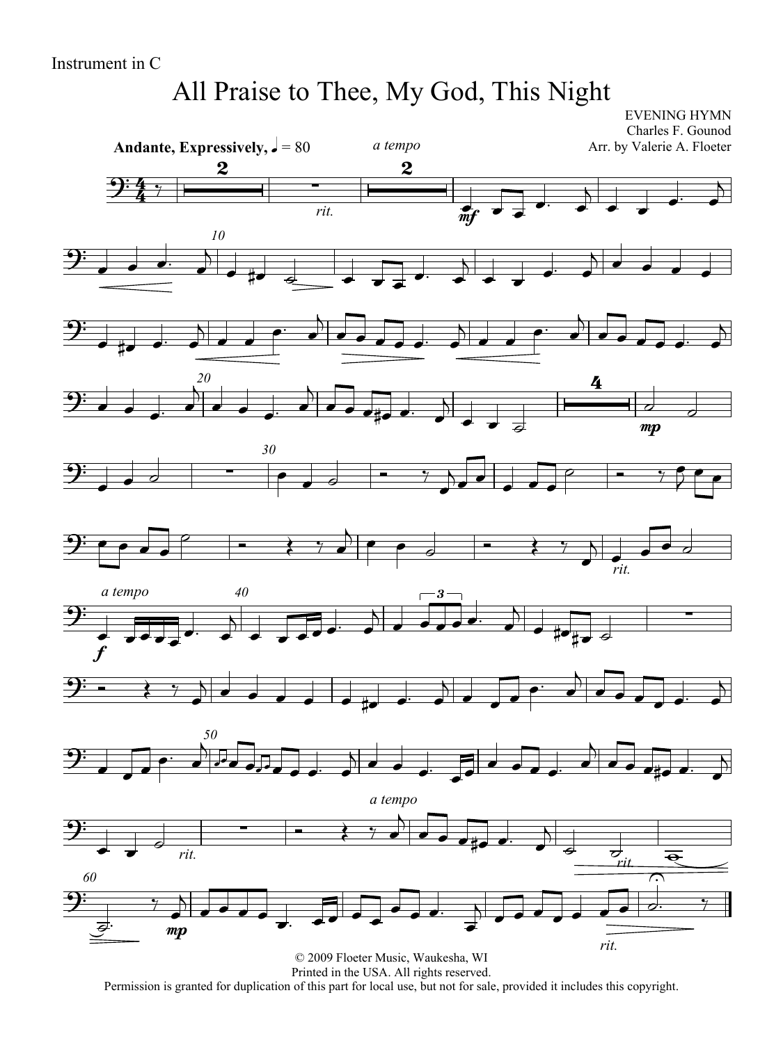# All Praise to Thee, My God, This Night

EVENING HYMN

 $\overline{4}$  $\frac{4}{4}$ Andante, Expressively,  $\sqrt{ } = 80$ Charles F. Gounod Arr. by Valerie A. Floeter  $2:4:7$  $\frac{2}{\sqrt{2}}$ *rit.*  $\overline{2}$ *a tempo* mf  $\frac{1}{n}$   $\frac{1}{n}$  $\overline{\cdot}$  $\overline{K}$  $\overrightarrow{ }$  $\overrightarrow{ }$  $\overline{\mathbf{b}}$ *10*  $9:$  , , , ,  $\overline{b}$  $\bullet$  # $\bullet$   $\bullet$   $\bullet$   $\bullet$   $\bullet$  $\overrightarrow{ }$  $\overline{\phantom{0}}$  $\overrightarrow{ }$  $\overrightarrow{ }$  $\begin{array}{|c|c|c|c|c|}\n\hline\n\text{A} & \text{B} & \text{B} & \text{B} \\
\hline\n\text{A} & \text{B} & \text{B} & \text{B} \\
\hline\n\end{array}$ <u> 9:</u>  $\overrightarrow{ }$   $\overrightarrow{ }$  $\overline{b}$  $\overrightarrow{z}$   $\overrightarrow{ }$  $\overline{A}$  $\overrightarrow{z}$  $\overline{\mathbf{b}}$ *20*  $9:$   $\bullet$   $\bullet$   $\bullet$  $\overrightarrow{\cdot}$  $\overline{b}$  $\overrightarrow{z}$  $\overline{ }$  $\overrightarrow{ }$  $\frac{4}{1}$ mp  $\overline{\phantom{a}}$ *30* <u> 9:</u>  $\begin{array}{|c|c|c|c|c|}\n\hline\n\bullet & \circ & \bullet & \bullet & \bullet\n\end{array}$  $\bullet$   $\circ$   $\qquad \bullet$   $\qquad \bullet$  $\overline{\phantom{a}}$  $\sum$  $\overrightarrow{ }$  $\begin{array}{c|c|c|c|c} \hline \circ & \bullet & \bullet & \bullet \end{array}$  $\frac{1}{2}$  $9: 0.00$  *rit.*  $\begin{array}{c|c|c|c|c} \hline \multicolumn{3}{c|}{\textbf{0} & \multicolumn{3}{c}{\textbf{0} & \multicolumn{3}{c}{\textbf{0}}\\ \hline \multicolumn{3}{c|}{\textbf{0} & \multicolumn{3}{c}{\textbf{0} & \multicolumn{3}{c}{\textbf{0}}\\ \hline \multicolumn{3}{c|}{\textbf{0} & \multicolumn{3}{c}{\textbf{0} & \multicolumn{3}{c}{\textbf{0}}\\ \hline \multicolumn{3}{c|}{\textbf{0} & \multicolumn{3}{c}{\textbf{0} & \multicolumn{3}{c}{\textbf{$ *40*  $\frac{1}{2}$ f *a tempo*  $\frac{1}{1}$  $\overrightarrow{ }$  $\overline{1}$  $\overline{a}$   $\overline{b}$   $\overline{a}$  $\sum_{i=1}^{n}$ 3  $\overrightarrow{c}$  $\overline{A}$  $\begin{array}{c|c|c|c|c} \hline \text{ & & & & & \\ \hline \text{ & & & & \\ \hline \text{ & & & & \\ \hline \text{ & & & & \\ \hline \text{ & & & & \\ \hline \text{ & & & & \\ \hline \text{ & & & & \\ \hline \text{ & & & & \\ \hline \text{ & & & & \\ \hline \text{ & & & & \\ \hline \text{ & & & & \\ \hline \text{ & & & & \\ \hline \text{ & & & & \\ \hline \text{ & & & & \\ \hline \text{ & & & & \\ \hline \text{ & & & & \\ \hline \text{ & & & & \\ \hline \text{ & & & & \\ \hline \text{$  $9: 3$   $7$   $\overline{\phantom{a}}$  $\overrightarrow{ }$  $\overline{b}$  $\overrightarrow{c}$  $\overline{\mathbf{b}}$ *50*  $9:77$  $\begin{array}{c} \text{30} \\ \hline \text{...} \\ \hline \end{array}$  $\overrightarrow{O}$  $\begin{array}{c} \n\end{array}$  $\overrightarrow{a}$  $\overline{b}$  $\overrightarrow{r}$  $\overline{\phantom{a}}$ <u> 9:</u>  $\overrightarrow{ }$  $\overline{\overline{a}}$ *rit.*  $\overrightarrow{a}$ *a tempo*  $\overline{y}$ Ĺ<br>D  $\overrightarrow{e}$   $\overrightarrow{e}$   $\overrightarrow{r}$   $\overrightarrow{e}$   $\overrightarrow{e}$  $\overline{ }$  $\overline{\mathbf{z}}$ *rit.*  $\overline{\overline{\mathbf{e}}}$ *60*  $\bigoplus$  $\frac{1}{\beta}$ . mp  $\overline{\phantom{a}}$  $\begin{array}{c} \hline \end{array}$  $\overrightarrow{a}$ .  $\overrightarrow{a}$ .  $\overrightarrow{b}$ .  $\overrightarrow{z}$  *rit.*  $\overline{\phantom{0}}$ 7.  $\cdot$   $\cdot$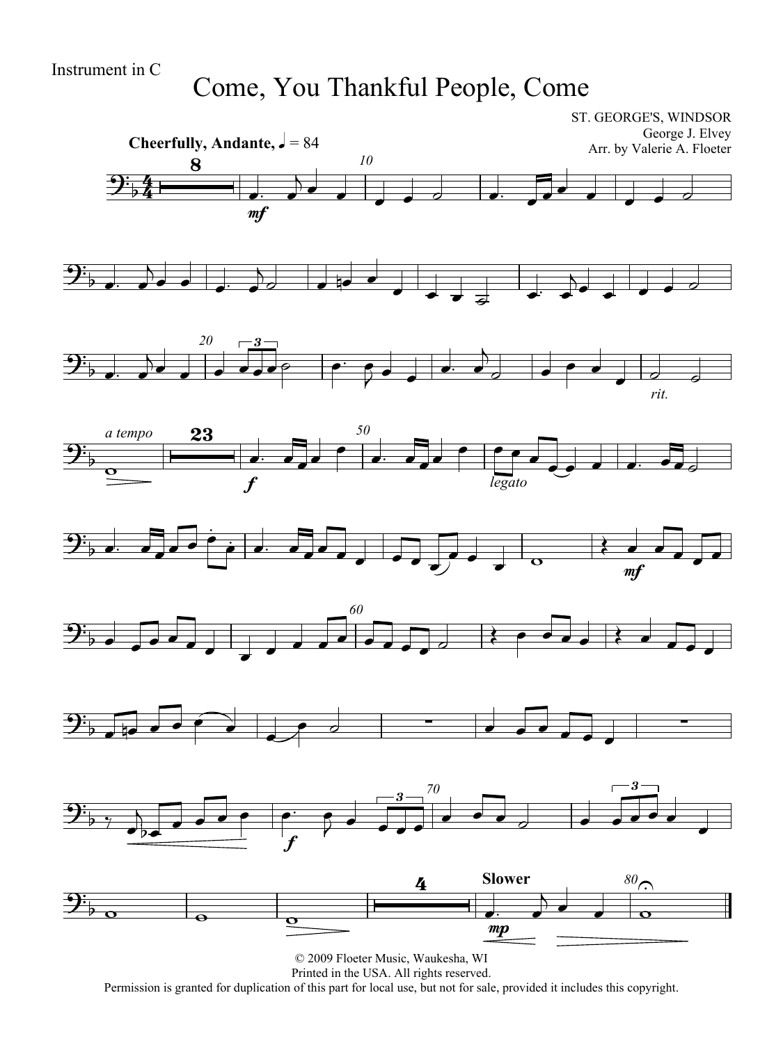#### Come, You Thankful People, Come

ST. GEORGE'S, WINDSOR

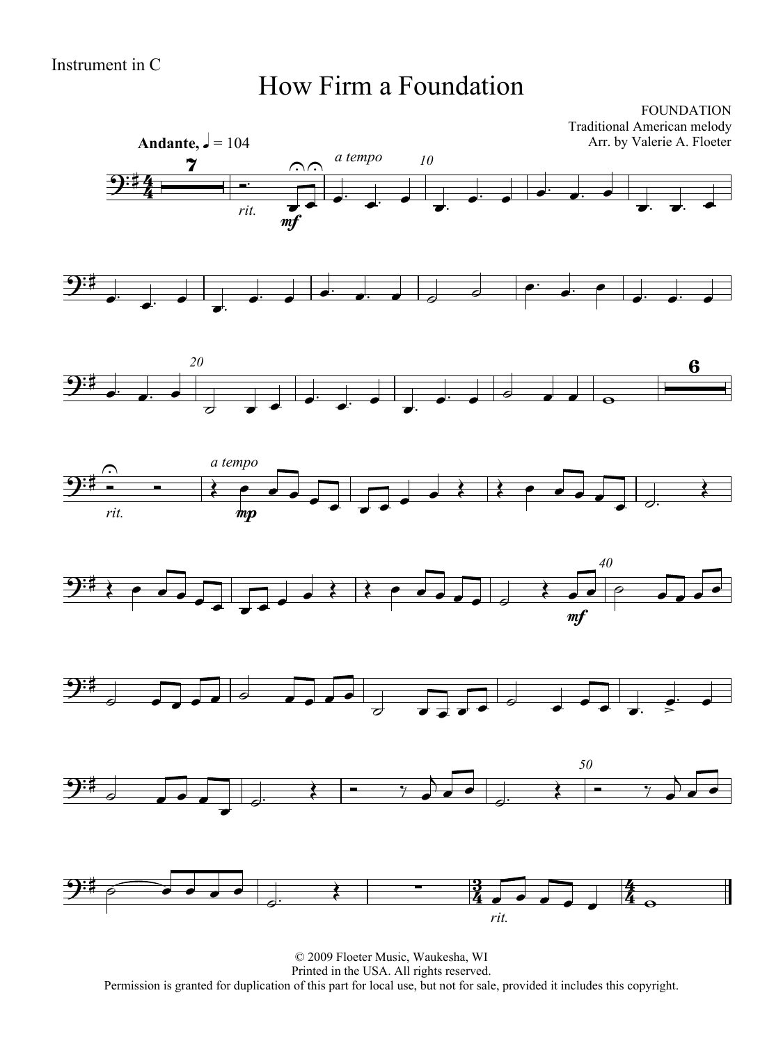#### How Firm a Foundation

FOUNDATION Traditional American melody Arr. by Valerie A. Floeter















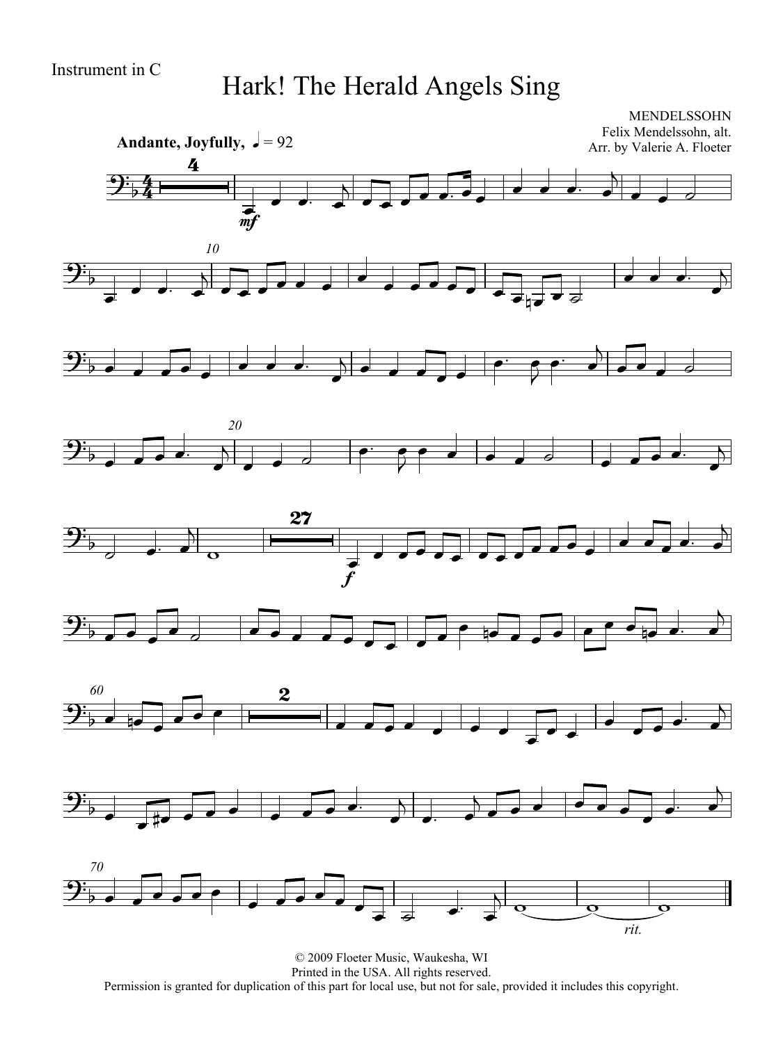## Hark! The Herald Angels Sing

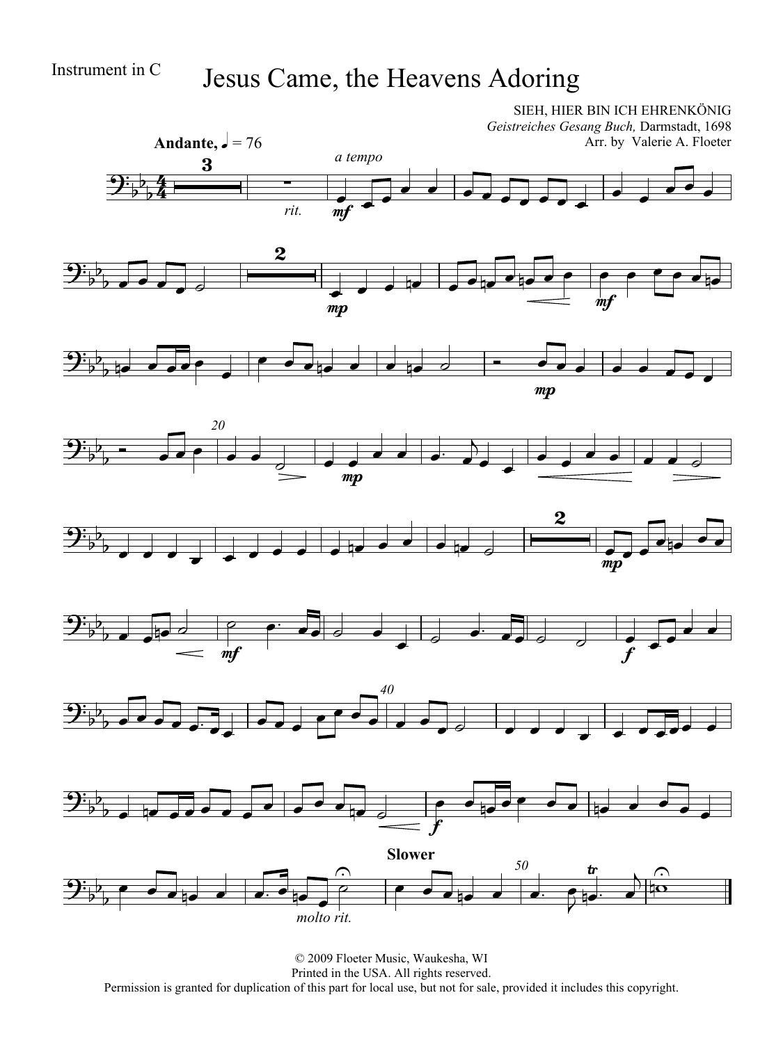## Instrument in C Jesus Came, the Heavens Adoring

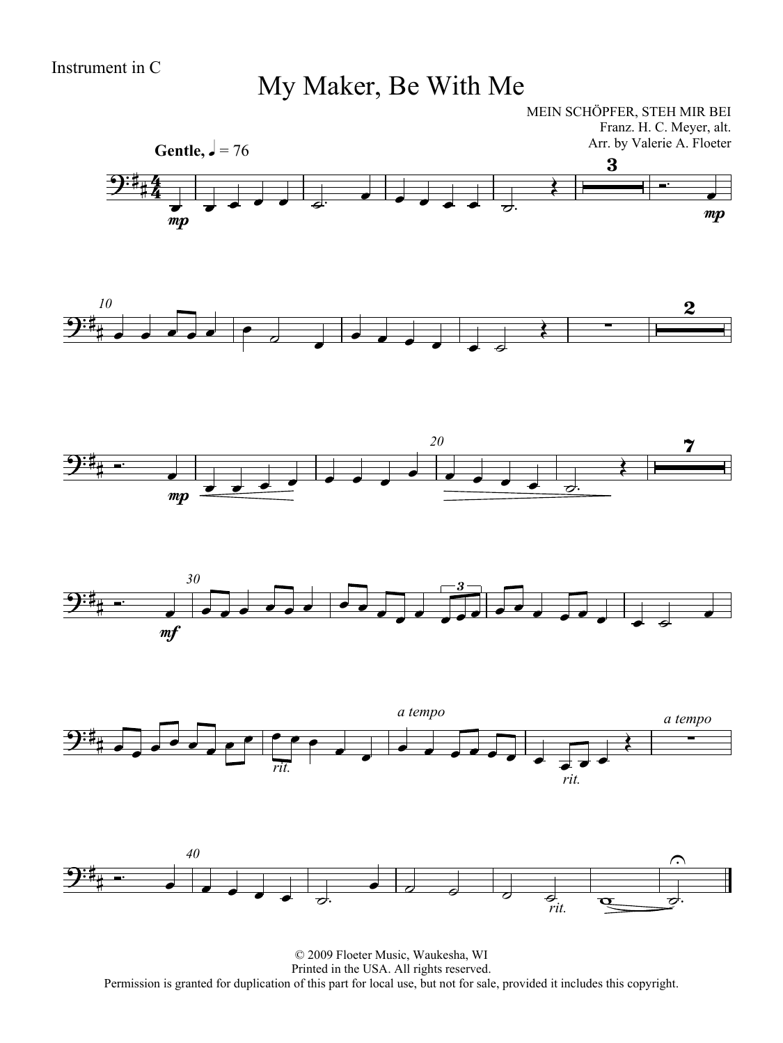## My Maker, Be With Me

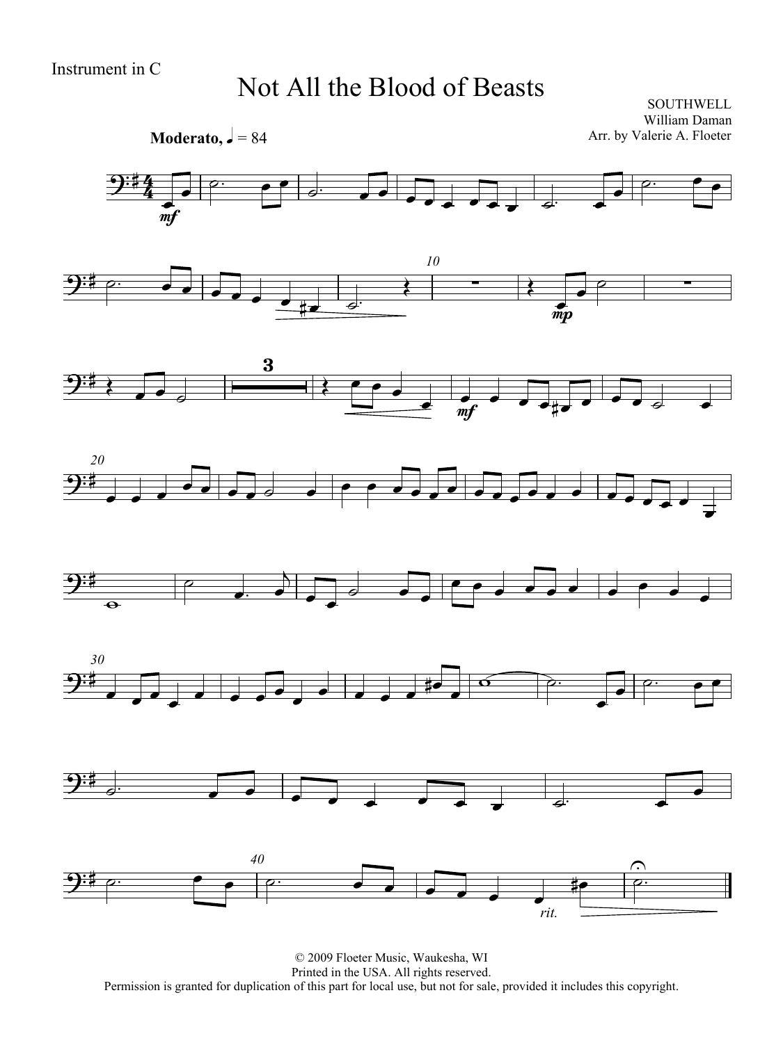#### Not All the Blood of Beasts

**SOUTHWELL** William Daman Arr. by Valerie A. Floeter

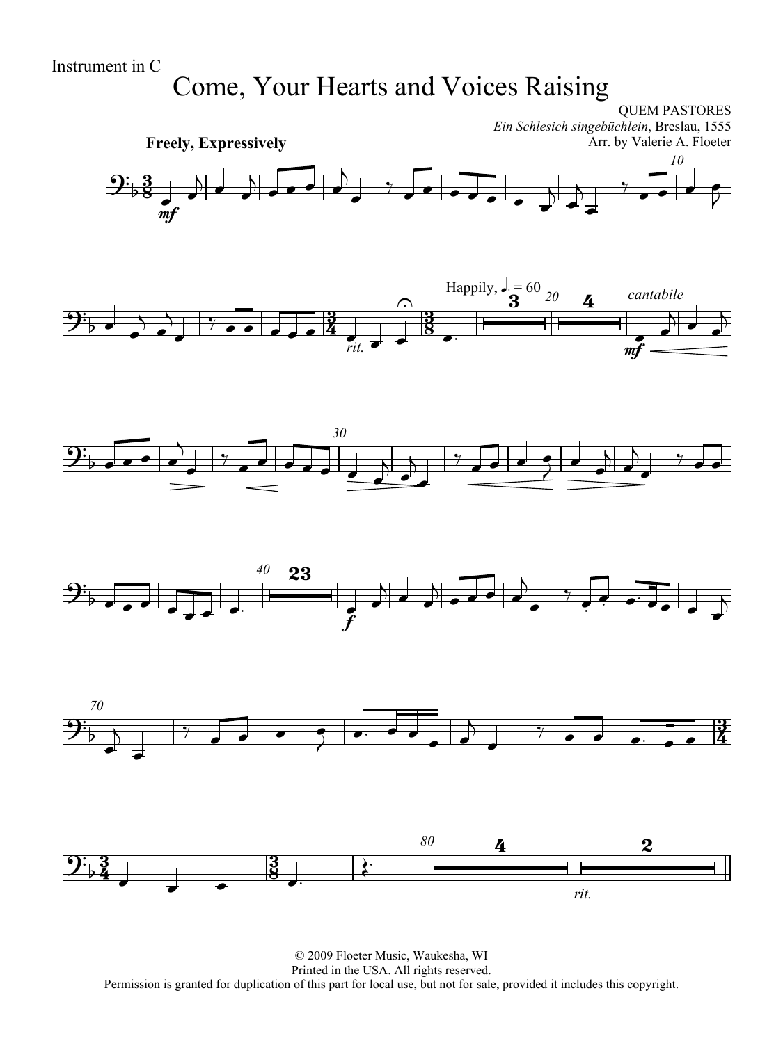# Come, Your Hearts and Voices Raising

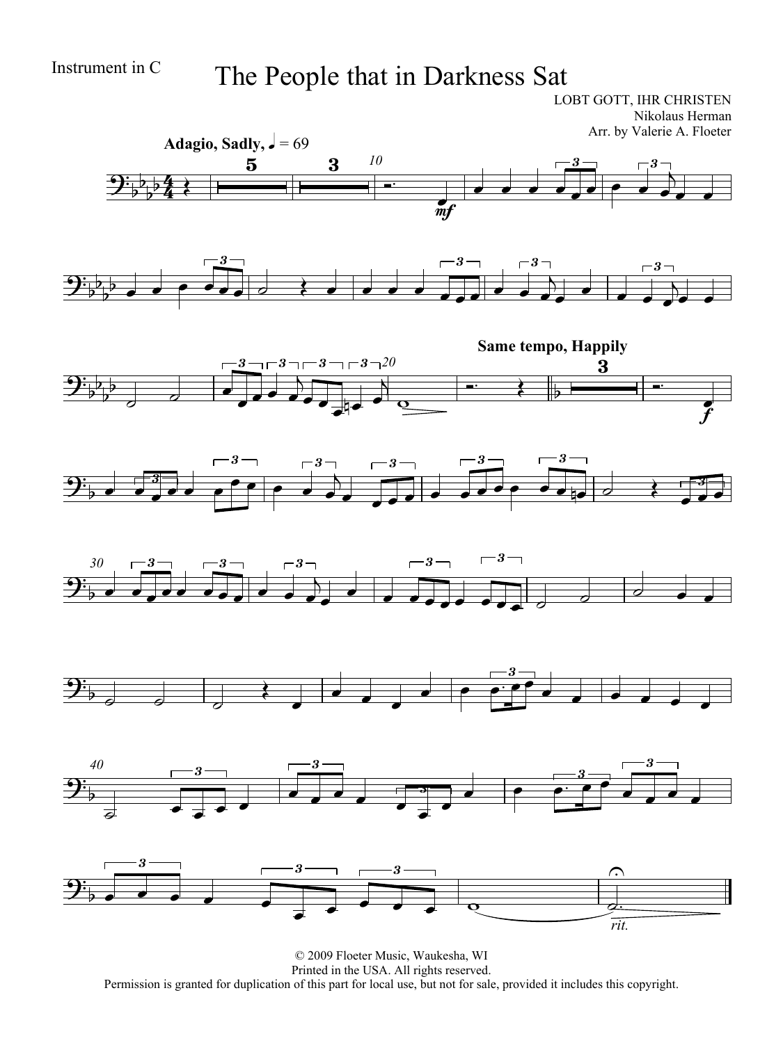## Instrument in C The People that in Darkness Sat

LOBT GOTT, IHR CHRISTEN Nikolaus Herman Arr. by Valerie A. Floeter